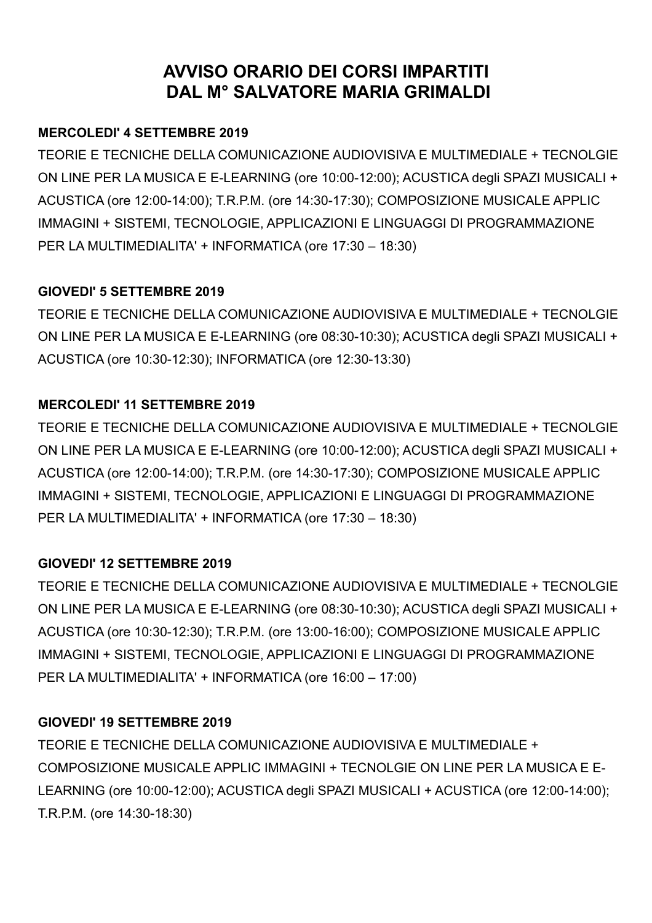# **AVVISO ORARIO DEI CORSI IMPARTITI DAL M° SALVATORE MARIA GRIMALDI**

## **MERCOLEDI' 4 SETTEMBRE 2019**

TEORIE E TECNICHE DELLA COMUNICAZIONE AUDIOVISIVA E MULTIMEDIALE + TECNOLGIE ON LINE PER LA MUSICA E E-LEARNING (ore 10:00-12:00); ACUSTICA degli SPAZI MUSICALI + ACUSTICA (ore 12:00-14:00); T.R.P.M. (ore 14:30-17:30); COMPOSIZIONE MUSICALE APPLIC IMMAGINI + SISTEMI, TECNOLOGIE, APPLICAZIONI E LINGUAGGI DI PROGRAMMAZIONE PER LA MULTIMEDIALITA' + INFORMATICA (ore 17:30 – 18:30)

## **GIOVEDI' 5 SETTEMBRE 2019**

TEORIE E TECNICHE DELLA COMUNICAZIONE AUDIOVISIVA E MULTIMEDIALE + TECNOLGIE ON LINE PER LA MUSICA E E-LEARNING (ore 08:30-10:30); ACUSTICA degli SPAZI MUSICALI + ACUSTICA (ore 10:30-12:30); INFORMATICA (ore 12:30-13:30)

## **MERCOLEDI' 11 SETTEMBRE 2019**

TEORIE E TECNICHE DELLA COMUNICAZIONE AUDIOVISIVA E MULTIMEDIALE + TECNOLGIE ON LINE PER LA MUSICA E E-LEARNING (ore 10:00-12:00); ACUSTICA degli SPAZI MUSICALI + ACUSTICA (ore 12:00-14:00); T.R.P.M. (ore 14:30-17:30); COMPOSIZIONE MUSICALE APPLIC IMMAGINI + SISTEMI, TECNOLOGIE, APPLICAZIONI E LINGUAGGI DI PROGRAMMAZIONE PER LA MULTIMEDIALITA' + INFORMATICA (ore 17:30 – 18:30)

## **GIOVEDI' 12 SETTEMBRE 2019**

TEORIE E TECNICHE DELLA COMUNICAZIONE AUDIOVISIVA E MULTIMEDIALE + TECNOLGIE ON LINE PER LA MUSICA E E-LEARNING (ore 08:30-10:30); ACUSTICA degli SPAZI MUSICALI + ACUSTICA (ore 10:30-12:30); T.R.P.M. (ore 13:00-16:00); COMPOSIZIONE MUSICALE APPLIC IMMAGINI + SISTEMI, TECNOLOGIE, APPLICAZIONI E LINGUAGGI DI PROGRAMMAZIONE PER LA MULTIMEDIALITA' + INFORMATICA (ore 16:00 – 17:00)

## **GIOVEDI' 19 SETTEMBRE 2019**

TEORIE E TECNICHE DELLA COMUNICAZIONE AUDIOVISIVA E MULTIMEDIALE + COMPOSIZIONE MUSICALE APPLIC IMMAGINI + TECNOLGIE ON LINE PER LA MUSICA E E-LEARNING (ore 10:00-12:00); ACUSTICA degli SPAZI MUSICALI + ACUSTICA (ore 12:00-14:00); T.R.P.M. (ore 14:30-18:30)